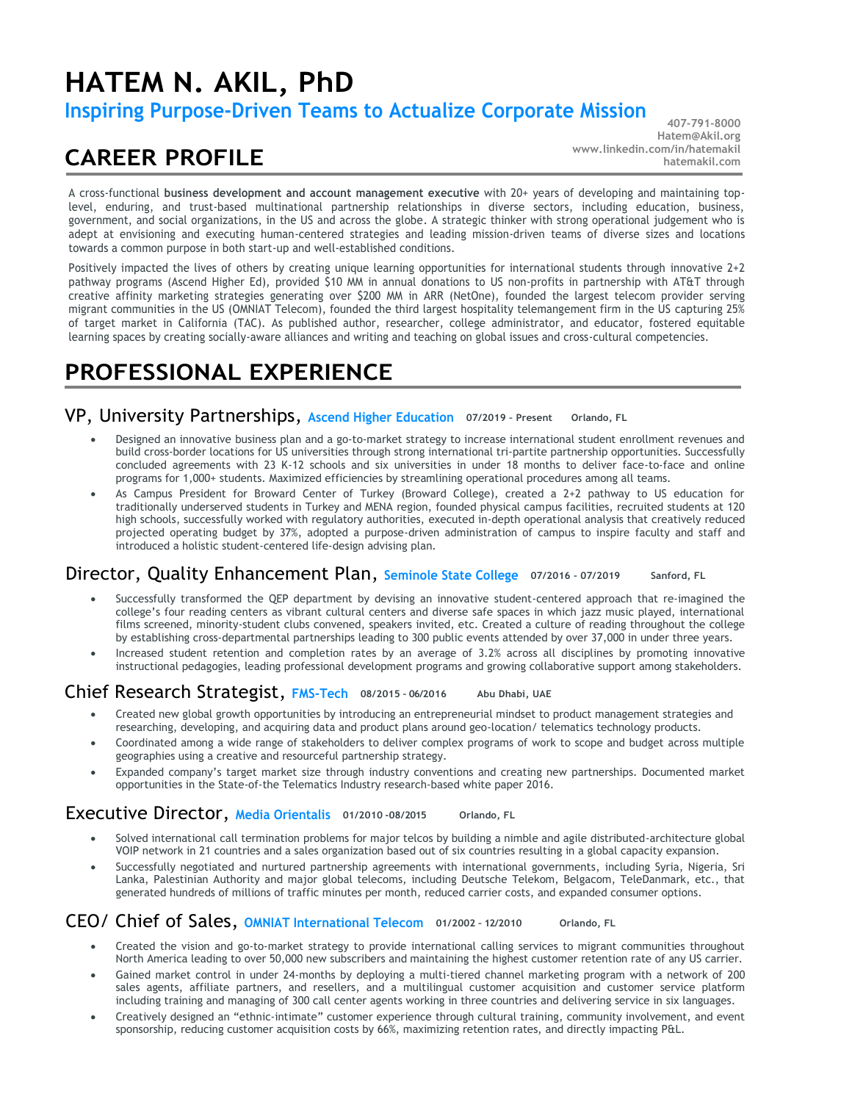# **HATEM N. AKIL, PhD**

**Inspiring Purpose-Driven Teams to Actualize Corporate Mission**

# **CAREER PROFILE**

**407-791-8000 Hatem@Akil.org [www.linkedin.com/in/hatemakil](http://www.linkedin.com/in/hatemakil) hatemakil.com**

A cross-functional **business development and account management executive** with 20+ years of developing and maintaining toplevel, enduring, and trust-based multinational partnership relationships in diverse sectors, including education, business, government, and social organizations, in the US and across the globe. A strategic thinker with strong operational judgement who is adept at envisioning and executing human-centered strategies and leading mission-driven teams of diverse sizes and locations towards a common purpose in both start-up and well-established conditions.

Positively impacted the lives of others by creating unique learning opportunities for international students through innovative 2+2 pathway programs (Ascend Higher Ed), provided \$10 MM in annual donations to US non-profits in partnership with AT&T through creative affinity marketing strategies generating over \$200 MM in ARR (NetOne), founded the largest telecom provider serving migrant communities in the US (OMNIAT Telecom), founded the third largest hospitality telemangement firm in the US capturing 25% of target market in California (TAC). As published author, researcher, college administrator, and educator, fostered equitable learning spaces by creating socially-aware alliances and writing and teaching on global issues and cross-cultural competencies.

# **PROFESSIONAL EXPERIENCE**

#### VP, University Partnerships, **Ascend Higher Education 07/2019 – Present Orlando, FL**

- Designed an innovative business plan and a go-to-market strategy to increase international student enrollment revenues and build cross-border locations for US universities through strong international tri-partite partnership opportunities. Successfully concluded agreements with 23 K-12 schools and six universities in under 18 months to deliver face-to-face and online programs for 1,000+ students. Maximized efficiencies by streamlining operational procedures among all teams.
- As Campus President for Broward Center of Turkey (Broward College), created a 2+2 pathway to US education for traditionally underserved students in Turkey and MENA region, founded physical campus facilities, recruited students at 120 high schools, successfully worked with regulatory authorities, executed in-depth operational analysis that creatively reduced projected operating budget by 37%, adopted a purpose-driven administration of campus to inspire faculty and staff and introduced a holistic student-centered life-design advising plan.

#### Director, Quality Enhancement Plan, **Seminole State College 07/2016 – 07/2019 Sanford, FL**

- Successfully transformed the QEP department by devising an innovative student-centered approach that re-imagined the college's four reading centers as vibrant cultural centers and diverse safe spaces in which jazz music played, international films screened, minority-student clubs convened, speakers invited, etc. Created a culture of reading throughout the college by establishing cross-departmental partnerships leading to 300 public events attended by over 37,000 in under three years.
- Increased student retention and completion rates by an average of 3.2% across all disciplines by promoting innovative instructional pedagogies, leading professional development programs and growing collaborative support among stakeholders.

### Chief Research Strategist, **FMS-Tech 08/2015 – 06/2016 Abu Dhabi, UAE**

- Created new global growth opportunities by introducing an entrepreneurial mindset to product management strategies and researching, developing, and acquiring data and product plans around geo-location/ telematics technology products.
- Coordinated among a wide range of stakeholders to deliver complex programs of work to scope and budget across multiple geographies using a creative and resourceful partnership strategy.
- Expanded company's target market size through industry conventions and creating new partnerships. Documented market opportunities in the State-of-the Telematics Industry research-based white paper 2016.

### Executive Director, **Media Orientalis 01/2010 -08/2015 Orlando, FL**

- Solved international call termination problems for major telcos by building a nimble and agile distributed-architecture global VOIP network in 21 countries and a sales organization based out of six countries resulting in a global capacity expansion.
- Successfully negotiated and nurtured partnership agreements with international governments, including Syria, Nigeria, Sri Lanka, Palestinian Authority and major global telecoms, including Deutsche Telekom, Belgacom, TeleDanmark, etc., that generated hundreds of millions of traffic minutes per month, reduced carrier costs, and expanded consumer options.

### CEO/ Chief of Sales, **OMNIAT International Telecom 01/2002 – 12/2010 Orlando, FL**

- Created the vision and go-to-market strategy to provide international calling services to migrant communities throughout North America leading to over 50,000 new subscribers and maintaining the highest customer retention rate of any US carrier.
- Gained market control in under 24-months by deploying a multi-tiered channel marketing program with a network of 200 sales agents, affiliate partners, and resellers, and a multilingual customer acquisition and customer service platform including training and managing of 300 call center agents working in three countries and delivering service in six languages.
- Creatively designed an "ethnic-intimate" customer experience through cultural training, community involvement, and event sponsorship, reducing customer acquisition costs by 66%, maximizing retention rates, and directly impacting P&L.